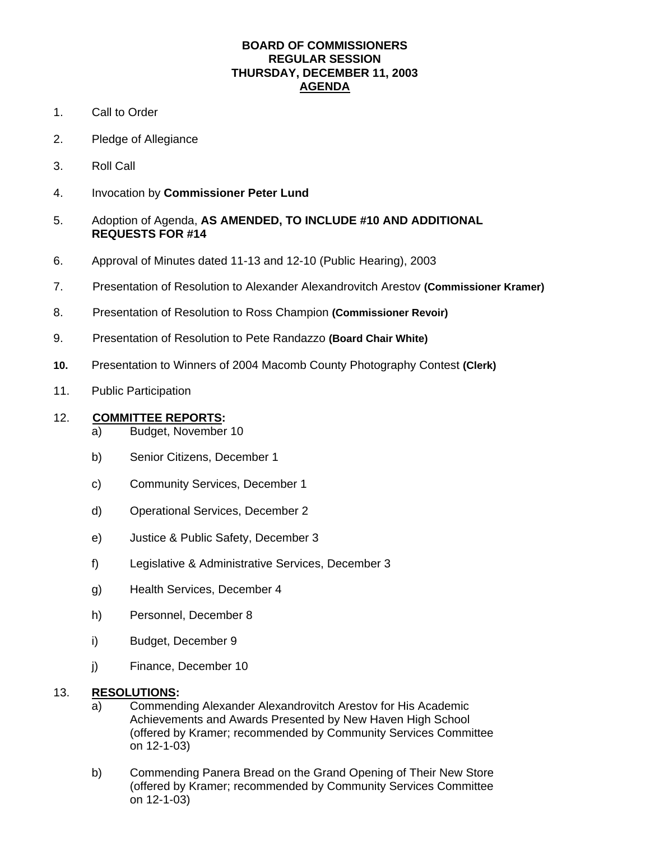## **BOARD OF COMMISSIONERS REGULAR SESSION THURSDAY, DECEMBER 11, 2003 AGENDA**

- 1. Call to Order
- 2. Pledge of Allegiance
- 3. Roll Call
- 4. Invocation by **Commissioner Peter Lund**
- 5. Adoption of Agenda, **AS AMENDED, TO INCLUDE #10 AND ADDITIONAL REQUESTS FOR #14**
- 6. Approval of Minutes dated 11-13 and 12-10 (Public Hearing), 2003
- 7. Presentation of Resolution to Alexander Alexandrovitch Arestov **(Commissioner Kramer)**
- 8. Presentation of Resolution to Ross Champion **(Commissioner Revoir)**
- 9. Presentation of Resolution to Pete Randazzo **(Board Chair White)**
- **10.** Presentation to Winners of 2004 Macomb County Photography Contest **(Clerk)**
- 11. Public Participation

#### 12. **COMMITTEE REPORTS:**

- a) Budget, November 10
- b) Senior Citizens, December 1
- c) Community Services, December 1
- d) Operational Services, December 2
- e) Justice & Public Safety, December 3
- f) Legislative & Administrative Services, December 3
- g) Health Services, December 4
- h) Personnel, December 8
- i) Budget, December 9
- j) Finance, December 10

#### 13. **RESOLUTIONS:**

- a) Commending Alexander Alexandrovitch Arestov for His Academic Achievements and Awards Presented by New Haven High School (offered by Kramer; recommended by Community Services Committee on 12-1-03)
- b) Commending Panera Bread on the Grand Opening of Their New Store (offered by Kramer; recommended by Community Services Committee on 12-1-03)